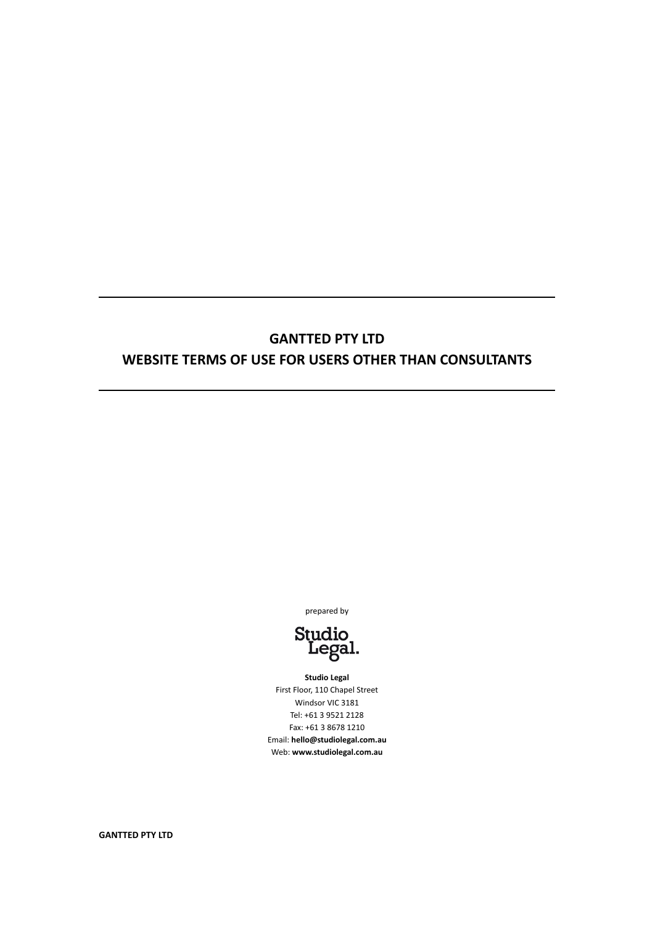# **GANTTED PTY LTD WEBSITE TERMS OF USE FOR USERS OTHER THAN CONSULTANTS**

prepared by



**Studio Legal** First Floor, 110 Chapel Street Windsor VIC 3181 Tel: +61 3 9521 2128 Fax: +61 3 8678 1210 Email: **hello@studiolegal.com.au** Web: **www.studiolegal.com.au**

**GANTTED PTY LTD**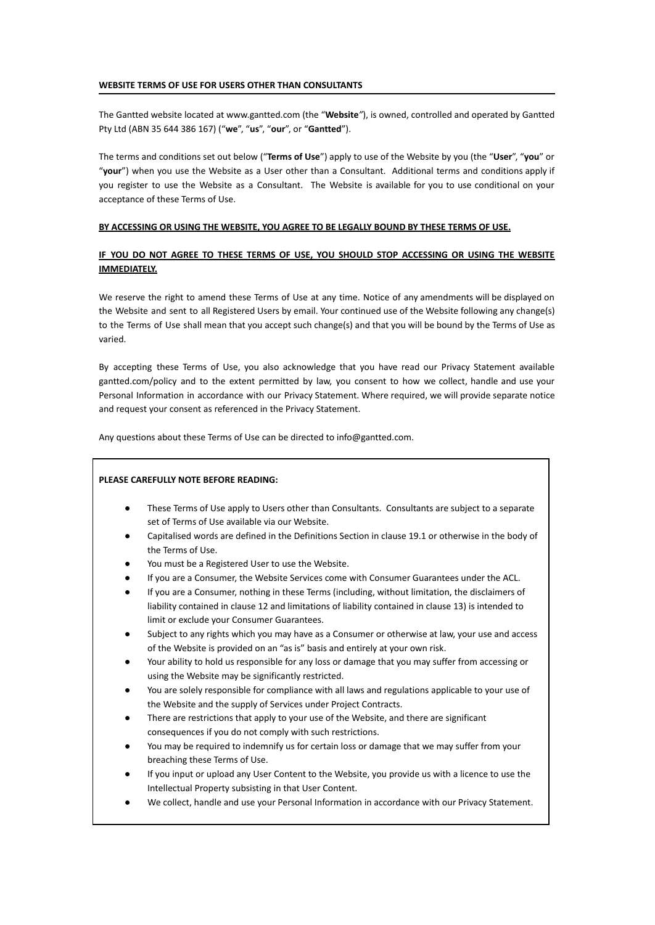#### **WEBSITE TERMS OF USE FOR USERS OTHER THAN CONSULTANTS**

The Gantted website located at www.gantted.com (the "**Website***"*), is owned, controlled and operated by Gantted Pty Ltd (ABN 35 644 386 167) ("**we**", "**us**", "**our**", or "**Gantted**").

The terms and conditions set out below ("**Terms of Use**") apply to use of the Website by you (the "**User**", "**you**" or "**your**") when you use the Website as a User other than a Consultant. Additional terms and conditions apply if you register to use the Website as a Consultant. The Website is available for you to use conditional on your acceptance of these Terms of Use.

### **BY ACCESSING OR USING THE WEBSITE, YOU AGREE TO BE LEGALLY BOUND BY THESE TERMS OF USE.**

## **IF YOU DO NOT AGREE TO THESE TERMS OF USE, YOU SHOULD STOP ACCESSING OR USING THE WEBSITE IMMEDIATELY.**

We reserve the right to amend these Terms of Use at any time. Notice of any amendments will be displayed on the Website and sent to all Registered Users by email. Your continued use of the Website following any change(s) to the Terms of Use shall mean that you accept such change(s) and that you will be bound by the Terms of Use as varied.

By accepting these Terms of Use, you also acknowledge that you have read our Privacy Statement available gantted.com/policy and to the extent permitted by law, you consent to how we collect, handle and use your Personal Information in accordance with our Privacy Statement. Where required, we will provide separate notice and request your consent as referenced in the Privacy Statement.

Any questions about these Terms of Use can be directed to info@gantted.com.

#### **PLEASE CAREFULLY NOTE BEFORE READING:**

- These Terms of Use apply to Users other than Consultants. Consultants are subject to a separate set of Terms of Use available via our Website.
- Capitalised words are defined in the Definitions Section in clause 19.1 or otherwise in the body of the Terms of Use.
- You must be a Registered User to use the Website.
- If you are a Consumer, the Website Services come with Consumer Guarantees under the ACL.
- If you are a Consumer, nothing in these Terms (including, without limitation, the disclaimers of liability contained in clause 12 and limitations of liability contained in clause 13) is intended to limit or exclude your Consumer Guarantees.
- Subject to any rights which you may have as a Consumer or otherwise at law, your use and access of the Website is provided on an "as is" basis and entirely at your own risk.
- Your ability to hold us responsible for any loss or damage that you may suffer from accessing or using the Website may be significantly restricted.
- You are solely responsible for compliance with all laws and regulations applicable to your use of the Website and the supply of Services under Project Contracts.
- There are restrictions that apply to your use of the Website, and there are significant consequences if you do not comply with such restrictions.
- You may be required to indemnify us for certain loss or damage that we may suffer from your breaching these Terms of Use.
- If you input or upload any User Content to the Website, you provide us with a licence to use the Intellectual Property subsisting in that User Content.
- We collect, handle and use your Personal Information in accordance with our Privacy Statement.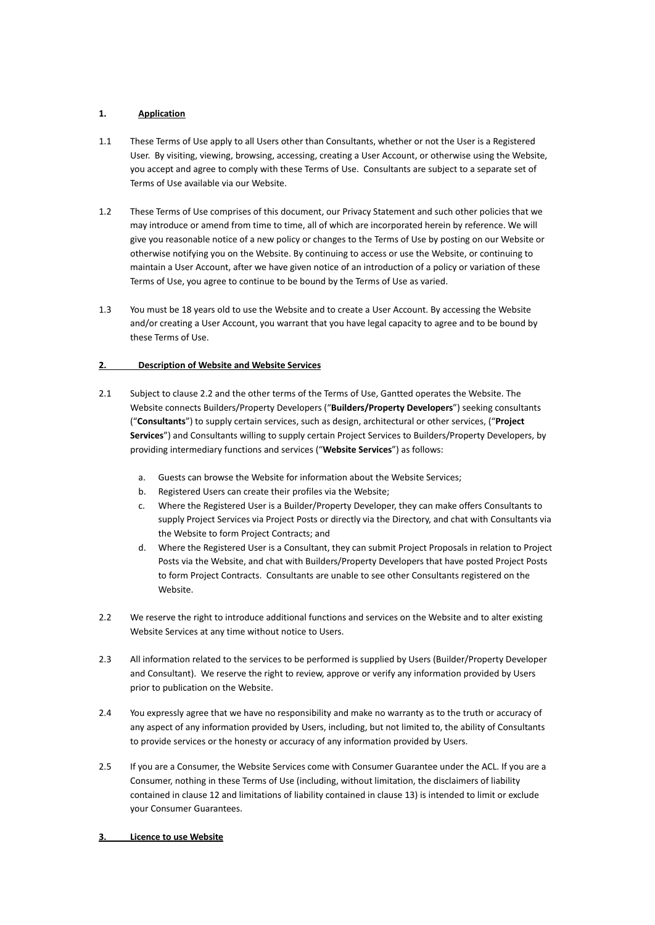# **1. Application**

- 1.1 These Terms of Use apply to all Users other than Consultants, whether or not the User is a Registered User. By visiting, viewing, browsing, accessing, creating a User Account, or otherwise using the Website, you accept and agree to comply with these Terms of Use. Consultants are subject to a separate set of Terms of Use available via our Website.
- 1.2 These Terms of Use comprises of this document, our Privacy Statement and such other policies that we may introduce or amend from time to time, all of which are incorporated herein by reference. We will give you reasonable notice of a new policy or changes to the Terms of Use by posting on our Website or otherwise notifying you on the Website. By continuing to access or use the Website, or continuing to maintain a User Account, after we have given notice of an introduction of a policy or variation of these Terms of Use, you agree to continue to be bound by the Terms of Use as varied.
- 1.3 You must be 18 years old to use the Website and to create a User Account. By accessing the Website and/or creating a User Account, you warrant that you have legal capacity to agree and to be bound by these Terms of Use.

# **2. Description of Website and Website Services**

- 2.1 Subject to clause 2.2 and the other terms of the Terms of Use, Gantted operates the Website. The Website connects Builders/Property Developers ("**Builders/Property Developers**") seeking consultants ("**Consultants**") to supply certain services, such as design, architectural or other services, ("**Project Services**") and Consultants willing to supply certain Project Services to Builders/Property Developers, by providing intermediary functions and services ("**Website Services**") as follows:
	- a. Guests can browse the Website for information about the Website Services;
	- b. Registered Users can create their profiles via the Website;
	- c. Where the Registered User is a Builder/Property Developer, they can make offers Consultants to supply Project Services via Project Posts or directly via the Directory, and chat with Consultants via the Website to form Project Contracts; and
	- d. Where the Registered User is a Consultant, they can submit Project Proposals in relation to Project Posts via the Website, and chat with Builders/Property Developers that have posted Project Posts to form Project Contracts. Consultants are unable to see other Consultants registered on the Website.
- 2.2 We reserve the right to introduce additional functions and services on the Website and to alter existing Website Services at any time without notice to Users.
- 2.3 All information related to the services to be performed is supplied by Users (Builder/Property Developer and Consultant). We reserve the right to review, approve or verify any information provided by Users prior to publication on the Website.
- 2.4 You expressly agree that we have no responsibility and make no warranty as to the truth or accuracy of any aspect of any information provided by Users, including, but not limited to, the ability of Consultants to provide services or the honesty or accuracy of any information provided by Users.
- 2.5 If you are a Consumer, the Website Services come with Consumer Guarantee under the ACL. If you are a Consumer, nothing in these Terms of Use (including, without limitation, the disclaimers of liability contained in clause 12 and limitations of liability contained in clause 13) is intended to limit or exclude your Consumer Guarantees.

# **3. Licence to use Website**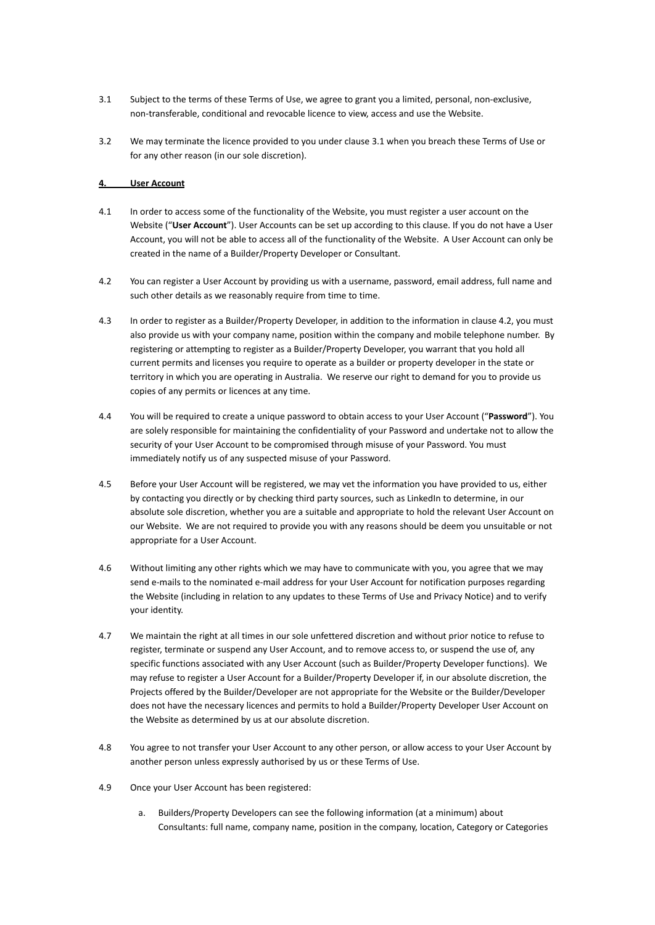- 3.1 Subject to the terms of these Terms of Use, we agree to grant you a limited, personal, non-exclusive, non-transferable, conditional and revocable licence to view, access and use the Website.
- 3.2 We may terminate the licence provided to you under clause 3.1 when you breach these Terms of Use or for any other reason (in our sole discretion).

## **4. User Account**

- 4.1 In order to access some of the functionality of the Website, you must register a user account on the Website ("**User Account**"). User Accounts can be set up according to this clause. If you do not have a User Account, you will not be able to access all of the functionality of the Website. A User Account can only be created in the name of a Builder/Property Developer or Consultant.
- 4.2 You can register a User Account by providing us with a username, password, email address, full name and such other details as we reasonably require from time to time.
- 4.3 In order to register as a Builder/Property Developer, in addition to the information in clause 4.2, you must also provide us with your company name, position within the company and mobile telephone number. By registering or attempting to register as a Builder/Property Developer, you warrant that you hold all current permits and licenses you require to operate as a builder or property developer in the state or territory in which you are operating in Australia. We reserve our right to demand for you to provide us copies of any permits or licences at any time.
- 4.4 You will be required to create a unique password to obtain access to your User Account ("**Password**"). You are solely responsible for maintaining the confidentiality of your Password and undertake not to allow the security of your User Account to be compromised through misuse of your Password. You must immediately notify us of any suspected misuse of your Password.
- 4.5 Before your User Account will be registered, we may vet the information you have provided to us, either by contacting you directly or by checking third party sources, such as LinkedIn to determine, in our absolute sole discretion, whether you are a suitable and appropriate to hold the relevant User Account on our Website. We are not required to provide you with any reasons should be deem you unsuitable or not appropriate for a User Account.
- 4.6 Without limiting any other rights which we may have to communicate with you, you agree that we may send e-mails to the nominated e-mail address for your User Account for notification purposes regarding the Website (including in relation to any updates to these Terms of Use and Privacy Notice) and to verify your identity.
- 4.7 We maintain the right at all times in our sole unfettered discretion and without prior notice to refuse to register, terminate or suspend any User Account, and to remove access to, or suspend the use of, any specific functions associated with any User Account (such as Builder/Property Developer functions). We may refuse to register a User Account for a Builder/Property Developer if, in our absolute discretion, the Projects offered by the Builder/Developer are not appropriate for the Website or the Builder/Developer does not have the necessary licences and permits to hold a Builder/Property Developer User Account on the Website as determined by us at our absolute discretion.
- 4.8 You agree to not transfer your User Account to any other person, or allow access to your User Account by another person unless expressly authorised by us or these Terms of Use.
- 4.9 Once your User Account has been registered:
	- a. Builders/Property Developers can see the following information (at a minimum) about Consultants: full name, company name, position in the company, location, Category or Categories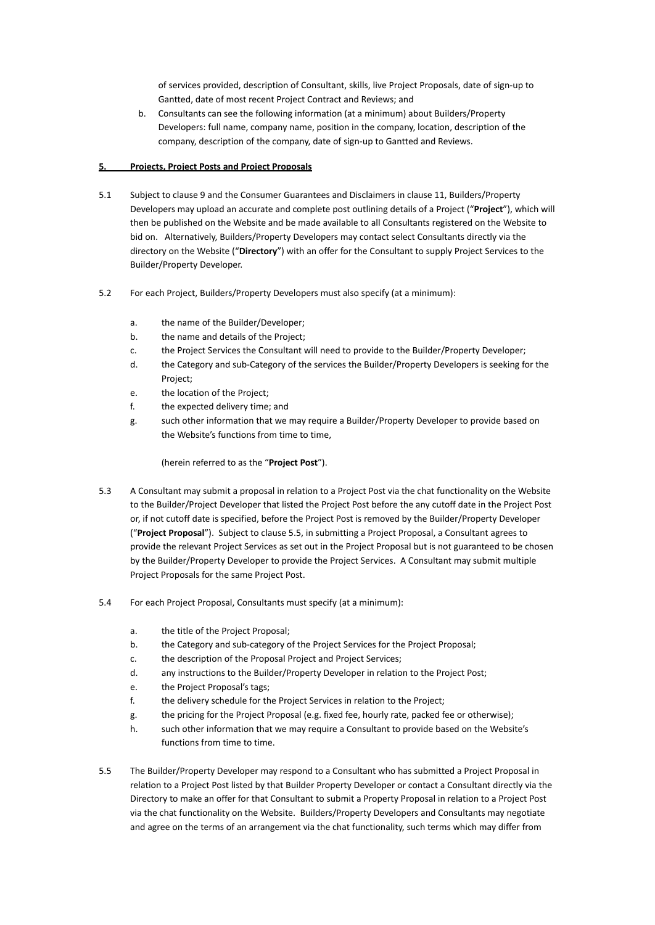of services provided, description of Consultant, skills, live Project Proposals, date of sign-up to Gantted, date of most recent Project Contract and Reviews; and

b. Consultants can see the following information (at a minimum) about Builders/Property Developers: full name, company name, position in the company, location, description of the company, description of the company, date of sign-up to Gantted and Reviews.

## **5. Projects, Project Posts and Project Proposals**

- 5.1 Subject to clause 9 and the Consumer Guarantees and Disclaimers in clause 11, Builders/Property Developers may upload an accurate and complete post outlining details of a Project ("**Project**"), which will then be published on the Website and be made available to all Consultants registered on the Website to bid on. Alternatively, Builders/Property Developers may contact select Consultants directly via the directory on the Website ("**Directory**") with an offer for the Consultant to supply Project Services to the Builder/Property Developer.
- 5.2 For each Project, Builders/Property Developers must also specify (at a minimum):
	- a. the name of the Builder/Developer;
	- b. the name and details of the Project;
	- c. the Project Services the Consultant will need to provide to the Builder/Property Developer;
	- d. the Category and sub-Category of the services the Builder/Property Developers is seeking for the Project;
	- e. the location of the Project;
	- f. the expected delivery time; and
	- g. such other information that we may require a Builder/Property Developer to provide based on the Website's functions from time to time,

(herein referred to as the "**Project Post**").

- 5.3 A Consultant may submit a proposal in relation to a Project Post via the chat functionality on the Website to the Builder/Project Developer that listed the Project Post before the any cutoff date in the Project Post or, if not cutoff date is specified, before the Project Post is removed by the Builder/Property Developer ("**Project Proposal**"). Subject to clause 5.5, in submitting a Project Proposal, a Consultant agrees to provide the relevant Project Services as set out in the Project Proposal but is not guaranteed to be chosen by the Builder/Property Developer to provide the Project Services. A Consultant may submit multiple Project Proposals for the same Project Post.
- 5.4 For each Project Proposal, Consultants must specify (at a minimum):
	- a. the title of the Project Proposal;
	- b. the Category and sub-category of the Project Services for the Project Proposal;
	- c. the description of the Proposal Project and Project Services;
	- d. any instructions to the Builder/Property Developer in relation to the Project Post;
	- e. the Project Proposal's tags;
	- f. the delivery schedule for the Project Services in relation to the Project;
	- g. the pricing for the Project Proposal (e.g. fixed fee, hourly rate, packed fee or otherwise);
	- h. such other information that we may require a Consultant to provide based on the Website's functions from time to time.
- 5.5 The Builder/Property Developer may respond to a Consultant who has submitted a Project Proposal in relation to a Project Post listed by that Builder Property Developer or contact a Consultant directly via the Directory to make an offer for that Consultant to submit a Property Proposal in relation to a Project Post via the chat functionality on the Website. Builders/Property Developers and Consultants may negotiate and agree on the terms of an arrangement via the chat functionality, such terms which may differ from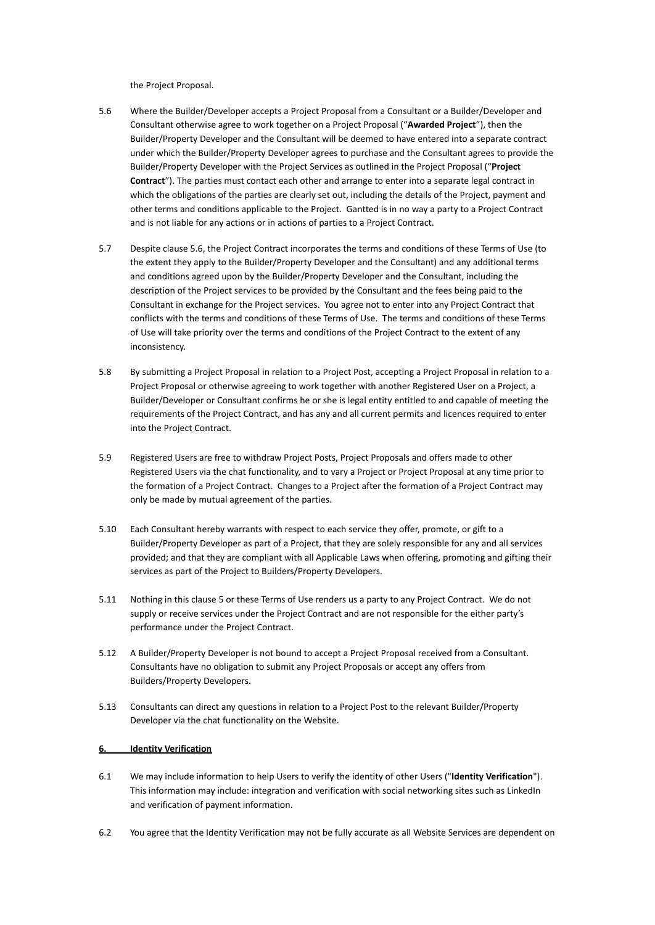the Project Proposal.

- 5.6 Where the Builder/Developer accepts a Project Proposal from a Consultant or a Builder/Developer and Consultant otherwise agree to work together on a Project Proposal ("**Awarded Project**"), then the Builder/Property Developer and the Consultant will be deemed to have entered into a separate contract under which the Builder/Property Developer agrees to purchase and the Consultant agrees to provide the Builder/Property Developer with the Project Services as outlined in the Project Proposal ("**Project Contract**"). The parties must contact each other and arrange to enter into a separate legal contract in which the obligations of the parties are clearly set out, including the details of the Project, payment and other terms and conditions applicable to the Project. Gantted is in no way a party to a Project Contract and is not liable for any actions or in actions of parties to a Project Contract.
- 5.7 Despite clause 5.6, the Project Contract incorporates the terms and conditions of these Terms of Use (to the extent they apply to the Builder/Property Developer and the Consultant) and any additional terms and conditions agreed upon by the Builder/Property Developer and the Consultant, including the description of the Project services to be provided by the Consultant and the fees being paid to the Consultant in exchange for the Project services. You agree not to enter into any Project Contract that conflicts with the terms and conditions of these Terms of Use. The terms and conditions of these Terms of Use will take priority over the terms and conditions of the Project Contract to the extent of any inconsistency.
- 5.8 By submitting a Project Proposal in relation to a Project Post, accepting a Project Proposal in relation to a Project Proposal or otherwise agreeing to work together with another Registered User on a Project, a Builder/Developer or Consultant confirms he or she is legal entity entitled to and capable of meeting the requirements of the Project Contract, and has any and all current permits and licences required to enter into the Project Contract.
- 5.9 Registered Users are free to withdraw Project Posts, Project Proposals and offers made to other Registered Users via the chat functionality, and to vary a Project or Project Proposal at any time prior to the formation of a Project Contract. Changes to a Project after the formation of a Project Contract may only be made by mutual agreement of the parties.
- 5.10 Each Consultant hereby warrants with respect to each service they offer, promote, or gift to a Builder/Property Developer as part of a Project, that they are solely responsible for any and all services provided; and that they are compliant with all Applicable Laws when offering, promoting and gifting their services as part of the Project to Builders/Property Developers.
- 5.11 Nothing in this clause 5 or these Terms of Use renders us a party to any Project Contract. We do not supply or receive services under the Project Contract and are not responsible for the either party's performance under the Project Contract.
- 5.12 A Builder/Property Developer is not bound to accept a Project Proposal received from a Consultant. Consultants have no obligation to submit any Project Proposals or accept any offers from Builders/Property Developers.
- 5.13 Consultants can direct any questions in relation to a Project Post to the relevant Builder/Property Developer via the chat functionality on the Website.

## **6. Identity Verification**

- 6.1 We may include information to help Users to verify the identity of other Users ("**Identity Verification**"). This information may include: integration and verification with social networking sites such as LinkedIn and verification of payment information.
- 6.2 You agree that the Identity Verification may not be fully accurate as all Website Services are dependent on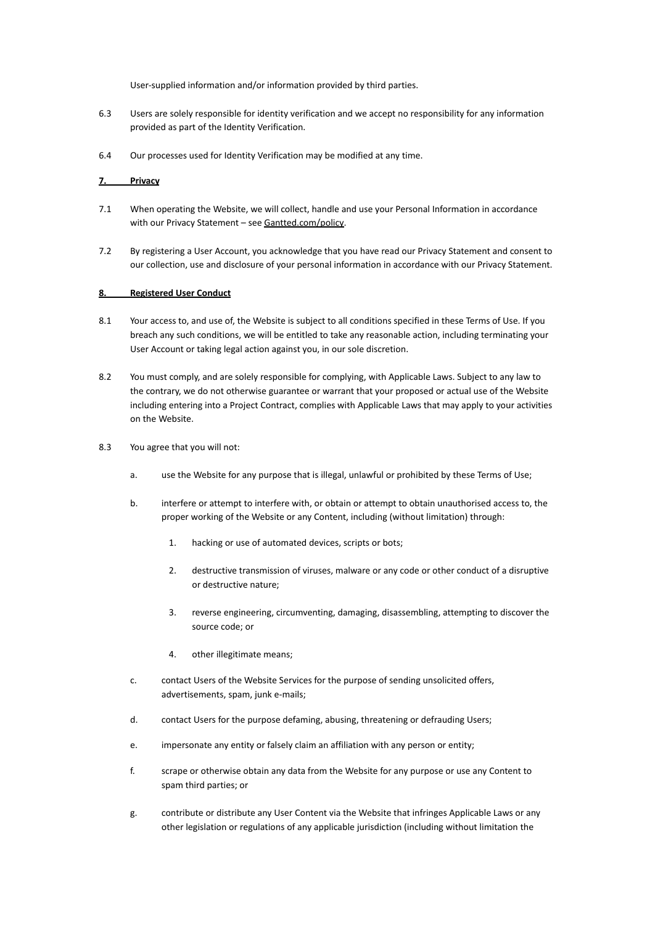User-supplied information and/or information provided by third parties.

- 6.3 Users are solely responsible for identity verification and we accept no responsibility for any information provided as part of the Identity Verification.
- 6.4 Our processes used for Identity Verification may be modified at any time.

### **7. Privacy**

- 7.1 When operating the Website, we will collect, handle and use your Personal Information in accordance with our Privacy Statement - see [Gantted.com/policy](https://www.gantted.com/policy).
- 7.2 By registering a User Account, you acknowledge that you have read our Privacy Statement and consent to our collection, use and disclosure of your personal information in accordance with our Privacy Statement.

### **8. Registered User Conduct**

- 8.1 Your access to, and use of, the Website is subject to all conditions specified in these Terms of Use. If you breach any such conditions, we will be entitled to take any reasonable action, including terminating your User Account or taking legal action against you, in our sole discretion.
- 8.2 You must comply, and are solely responsible for complying, with Applicable Laws. Subject to any law to the contrary, we do not otherwise guarantee or warrant that your proposed or actual use of the Website including entering into a Project Contract, complies with Applicable Laws that may apply to your activities on the Website.
- 8.3 You agree that you will not:
	- a. use the Website for any purpose that is illegal, unlawful or prohibited by these Terms of Use;
	- b. interfere or attempt to interfere with, or obtain or attempt to obtain unauthorised access to, the proper working of the Website or any Content, including (without limitation) through:
		- 1. hacking or use of automated devices, scripts or bots;
		- 2. destructive transmission of viruses, malware or any code or other conduct of a disruptive or destructive nature;
		- 3. reverse engineering, circumventing, damaging, disassembling, attempting to discover the source code; or
		- 4. other illegitimate means;
	- c. contact Users of the Website Services for the purpose of sending unsolicited offers, advertisements, spam, junk e-mails;
	- d. contact Users for the purpose defaming, abusing, threatening or defrauding Users;
	- e. impersonate any entity or falsely claim an affiliation with any person or entity;
	- f. scrape or otherwise obtain any data from the Website for any purpose or use any Content to spam third parties; or
	- g. contribute or distribute any User Content via the Website that infringes Applicable Laws or any other legislation or regulations of any applicable jurisdiction (including without limitation the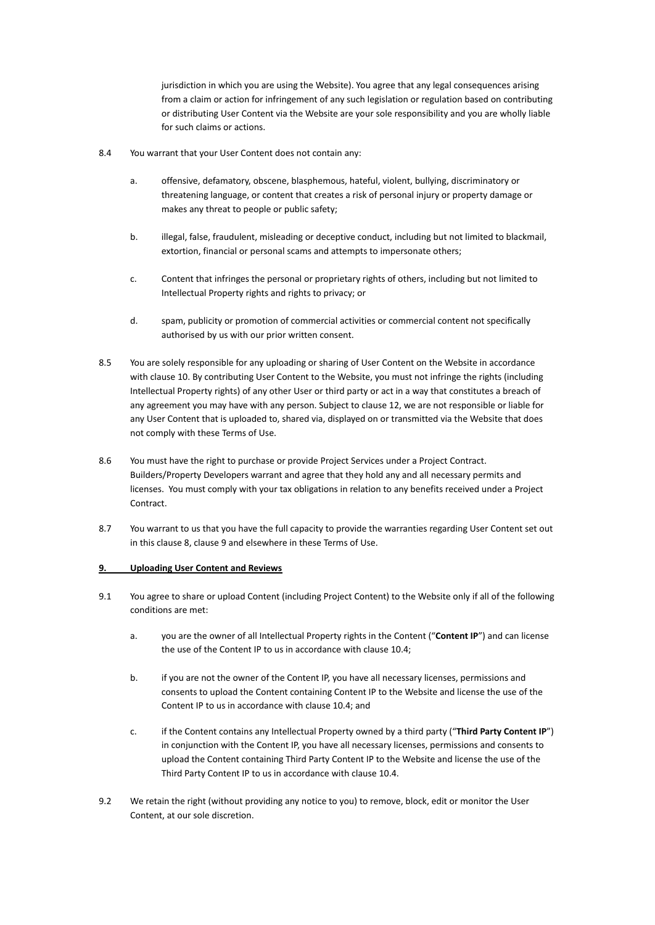jurisdiction in which you are using the Website). You agree that any legal consequences arising from a claim or action for infringement of any such legislation or regulation based on contributing or distributing User Content via the Website are your sole responsibility and you are wholly liable for such claims or actions.

- 8.4 You warrant that your User Content does not contain any:
	- a. offensive, defamatory, obscene, blasphemous, hateful, violent, bullying, discriminatory or threatening language, or content that creates a risk of personal injury or property damage or makes any threat to people or public safety;
	- b. illegal, false, fraudulent, misleading or deceptive conduct, including but not limited to blackmail, extortion, financial or personal scams and attempts to impersonate others;
	- c. Content that infringes the personal or proprietary rights of others, including but not limited to Intellectual Property rights and rights to privacy; or
	- d. spam, publicity or promotion of commercial activities or commercial content not specifically authorised by us with our prior written consent.
- 8.5 You are solely responsible for any uploading or sharing of User Content on the Website in accordance with clause 10. By contributing User Content to the Website, you must not infringe the rights (including Intellectual Property rights) of any other User or third party or act in a way that constitutes a breach of any agreement you may have with any person. Subject to clause 12, we are not responsible or liable for any User Content that is uploaded to, shared via, displayed on or transmitted via the Website that does not comply with these Terms of Use.
- 8.6 You must have the right to purchase or provide Project Services under a Project Contract. Builders/Property Developers warrant and agree that they hold any and all necessary permits and licenses. You must comply with your tax obligations in relation to any benefits received under a Project Contract.
- 8.7 You warrant to us that you have the full capacity to provide the warranties regarding User Content set out in this clause 8, clause 9 and elsewhere in these Terms of Use.

# **9. Uploading User Content and Reviews**

- 9.1 You agree to share or upload Content (including Project Content) to the Website only if all of the following conditions are met:
	- a. you are the owner of all Intellectual Property rights in the Content ("**Content IP**") and can license the use of the Content IP to us in accordance with clause 10.4;
	- b. if you are not the owner of the Content IP, you have all necessary licenses, permissions and consents to upload the Content containing Content IP to the Website and license the use of the Content IP to us in accordance with clause 10.4; and
	- c. if the Content contains any Intellectual Property owned by a third party ("**Third Party Content IP**") in conjunction with the Content IP, you have all necessary licenses, permissions and consents to upload the Content containing Third Party Content IP to the Website and license the use of the Third Party Content IP to us in accordance with clause 10.4.
- 9.2 We retain the right (without providing any notice to you) to remove, block, edit or monitor the User Content, at our sole discretion.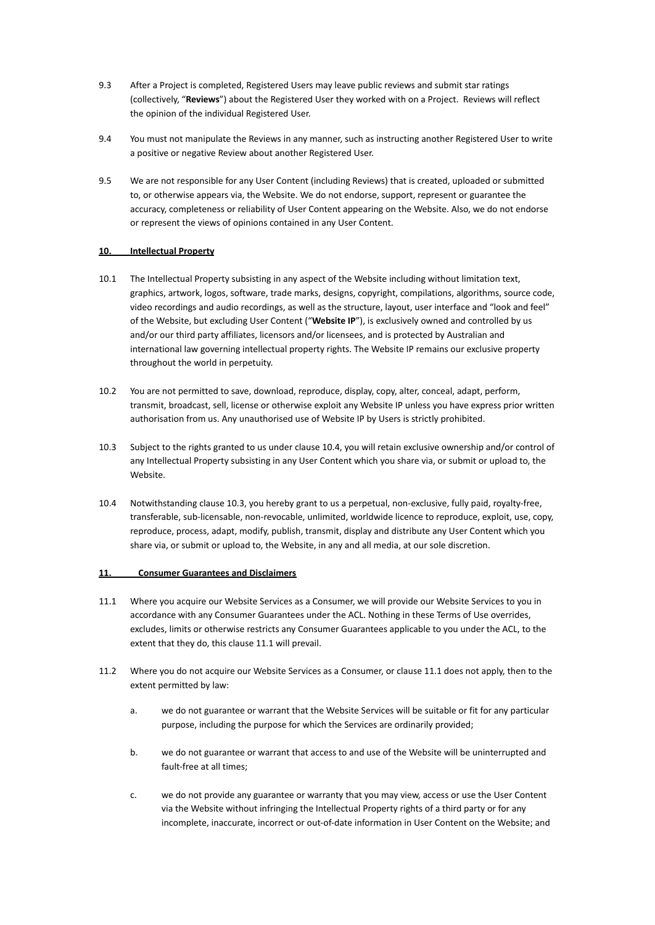- 9.3 After a Project is completed, Registered Users may leave public reviews and submit star ratings (collectively, "**Reviews**") about the Registered User they worked with on a Project. Reviews will reflect the opinion of the individual Registered User.
- 9.4 You must not manipulate the Reviews in any manner, such as instructing another Registered User to write a positive or negative Review about another Registered User.
- 9.5 We are not responsible for any User Content (including Reviews) that is created, uploaded or submitted to, or otherwise appears via, the Website. We do not endorse, support, represent or guarantee the accuracy, completeness or reliability of User Content appearing on the Website. Also, we do not endorse or represent the views of opinions contained in any User Content.

## **10. Intellectual Property**

- 10.1 The Intellectual Property subsisting in any aspect of the Website including without limitation text, graphics, artwork, logos, software, trade marks, designs, copyright, compilations, algorithms, source code, video recordings and audio recordings, as well as the structure, layout, user interface and "look and feel" of the Website, but excluding User Content ("**Website IP**"), is exclusively owned and controlled by us and/or our third party affiliates, licensors and/or licensees, and is protected by Australian and international law governing intellectual property rights. The Website IP remains our exclusive property throughout the world in perpetuity.
- 10.2 You are not permitted to save, download, reproduce, display, copy, alter, conceal, adapt, perform, transmit, broadcast, sell, license or otherwise exploit any Website IP unless you have express prior written authorisation from us. Any unauthorised use of Website IP by Users is strictly prohibited.
- 10.3 Subject to the rights granted to us under clause 10.4, you will retain exclusive ownership and/or control of any Intellectual Property subsisting in any User Content which you share via, or submit or upload to, the Website.
- 10.4 Notwithstanding clause 10.3, you hereby grant to us a perpetual, non-exclusive, fully paid, royalty-free, transferable, sub-licensable, non-revocable, unlimited, worldwide licence to reproduce, exploit, use, copy, reproduce, process, adapt, modify, publish, transmit, display and distribute any User Content which you share via, or submit or upload to, the Website, in any and all media, at our sole discretion.

## **11. Consumer Guarantees and Disclaimers**

- 11.1 Where you acquire our Website Services as a Consumer, we will provide our Website Services to you in accordance with any Consumer Guarantees under the ACL. Nothing in these Terms of Use overrides, excludes, limits or otherwise restricts any Consumer Guarantees applicable to you under the ACL, to the extent that they do, this clause 11.1 will prevail.
- 11.2 Where you do not acquire our Website Services as a Consumer, or clause 11.1 does not apply, then to the extent permitted by law:
	- a. we do not guarantee or warrant that the Website Services will be suitable or fit for any particular purpose, including the purpose for which the Services are ordinarily provided;
	- b. we do not guarantee or warrant that access to and use of the Website will be uninterrupted and fault-free at all times;
	- c. we do not provide any guarantee or warranty that you may view, access or use the User Content via the Website without infringing the Intellectual Property rights of a third party or for any incomplete, inaccurate, incorrect or out-of-date information in User Content on the Website; and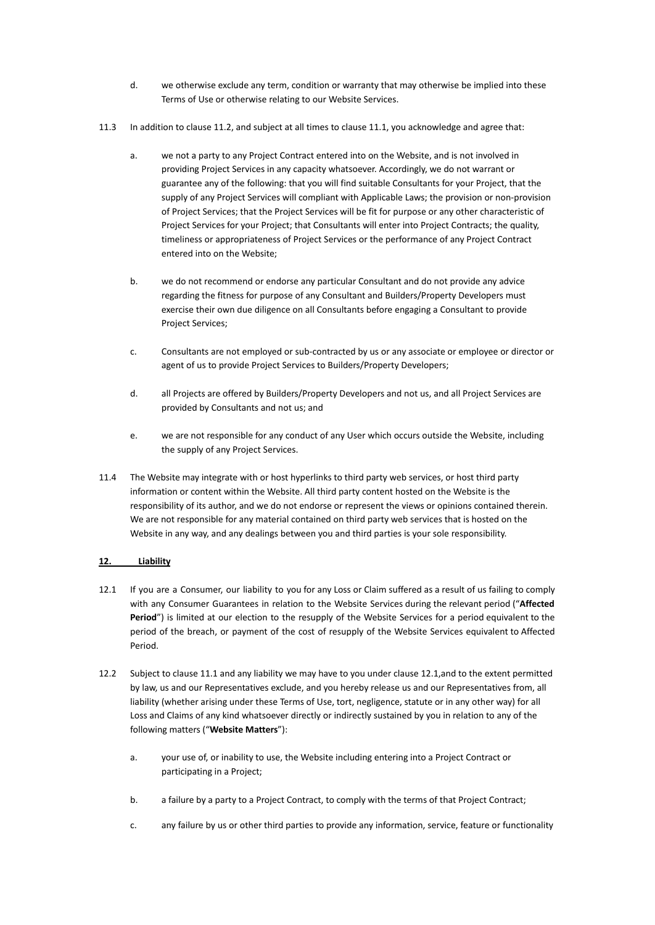- d. we otherwise exclude any term, condition or warranty that may otherwise be implied into these Terms of Use or otherwise relating to our Website Services.
- 11.3 In addition to clause 11.2, and subject at all times to clause 11.1, you acknowledge and agree that:
	- a. we not a party to any Project Contract entered into on the Website, and is not involved in providing Project Services in any capacity whatsoever. Accordingly, we do not warrant or guarantee any of the following: that you will find suitable Consultants for your Project, that the supply of any Project Services will compliant with Applicable Laws; the provision or non-provision of Project Services; that the Project Services will be fit for purpose or any other characteristic of Project Services for your Project; that Consultants will enter into Project Contracts; the quality, timeliness or appropriateness of Project Services or the performance of any Project Contract entered into on the Website;
	- b. we do not recommend or endorse any particular Consultant and do not provide any advice regarding the fitness for purpose of any Consultant and Builders/Property Developers must exercise their own due diligence on all Consultants before engaging a Consultant to provide Project Services;
	- c. Consultants are not employed or sub-contracted by us or any associate or employee or director or agent of us to provide Project Services to Builders/Property Developers;
	- d. all Projects are offered by Builders/Property Developers and not us, and all Project Services are provided by Consultants and not us; and
	- e. we are not responsible for any conduct of any User which occurs outside the Website, including the supply of any Project Services.
- 11.4 The Website may integrate with or host hyperlinks to third party web services, or host third party information or content within the Website. All third party content hosted on the Website is the responsibility of its author, and we do not endorse or represent the views or opinions contained therein. We are not responsible for any material contained on third party web services that is hosted on the Website in any way, and any dealings between you and third parties is your sole responsibility.

# **12. Liability**

- 12.1 If you are a Consumer, our liability to you for any Loss or Claim suffered as a result of us failing to comply with any Consumer Guarantees in relation to the Website Services during the relevant period ("**Affected** Period") is limited at our election to the resupply of the Website Services for a period equivalent to the period of the breach, or payment of the cost of resupply of the Website Services equivalent to Affected Period.
- 12.2 Subject to clause 11.1 and any liability we may have to you under clause 12.1,and to the extent permitted by law, us and our Representatives exclude, and you hereby release us and our Representatives from, all liability (whether arising under these Terms of Use, tort, negligence, statute or in any other way) for all Loss and Claims of any kind whatsoever directly or indirectly sustained by you in relation to any of the following matters ("**Website Matters**"):
	- a. your use of, or inability to use, the Website including entering into a Project Contract or participating in a Project;
	- b. a failure by a party to a Project Contract, to comply with the terms of that Project Contract;
	- c. any failure by us or other third parties to provide any information, service, feature or functionality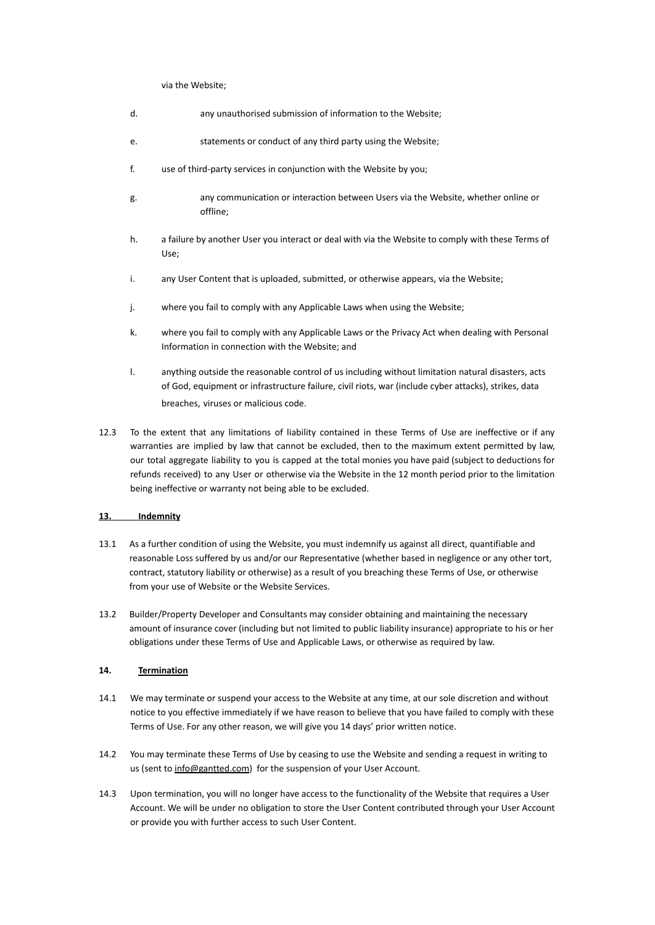via the Website;

| d. | any unauthorised submission of information to the Website; |
|----|------------------------------------------------------------|
|----|------------------------------------------------------------|

- e. statements or conduct of any third party using the Website;
- f. use of third-party services in conjunction with the Website by you;
- g. any communication or interaction between Users via the Website, whether online or offline;
- h. a failure by another User you interact or deal with via the Website to comply with these Terms of Use;
- i. any User Content that is uploaded, submitted, or otherwise appears, via the Website;
- j. where you fail to comply with any Applicable Laws when using the Website;
- k. where you fail to comply with any Applicable Laws or the Privacy Act when dealing with Personal Information in connection with the Website; and
- l. anything outside the reasonable control of us including without limitation natural disasters, acts of God, equipment or infrastructure failure, civil riots, war (include cyber attacks), strikes, data breaches, viruses or malicious code.
- 12.3 To the extent that any limitations of liability contained in these Terms of Use are ineffective or if any warranties are implied by law that cannot be excluded, then to the maximum extent permitted by law, our total aggregate liability to you is capped at the total monies you have paid (subject to deductions for refunds received) to any User or otherwise via the Website in the 12 month period prior to the limitation being ineffective or warranty not being able to be excluded.

## **13. Indemnity**

- 13.1 As a further condition of using the Website, you must indemnify us against all direct, quantifiable and reasonable Loss suffered by us and/or our Representative (whether based in negligence or any other tort, contract, statutory liability or otherwise) as a result of you breaching these Terms of Use, or otherwise from your use of Website or the Website Services.
- 13.2 Builder/Property Developer and Consultants may consider obtaining and maintaining the necessary amount of insurance cover (including but not limited to public liability insurance) appropriate to his or her obligations under these Terms of Use and Applicable Laws, or otherwise as required by law.

## **14. Termination**

- 14.1 We may terminate or suspend your access to the Website at any time, at our sole discretion and without notice to you effective immediately if we have reason to believe that you have failed to comply with these Terms of Use. For any other reason, we will give you 14 days' prior written notice.
- 14.2 You may terminate these Terms of Use by ceasing to use the Website and sending a request in writing to us (sent to [info@gantted.com\)](mailto:info@gantted.com) for the suspension of your User Account.
- 14.3 Upon termination, you will no longer have access to the functionality of the Website that requires a User Account. We will be under no obligation to store the User Content contributed through your User Account or provide you with further access to such User Content.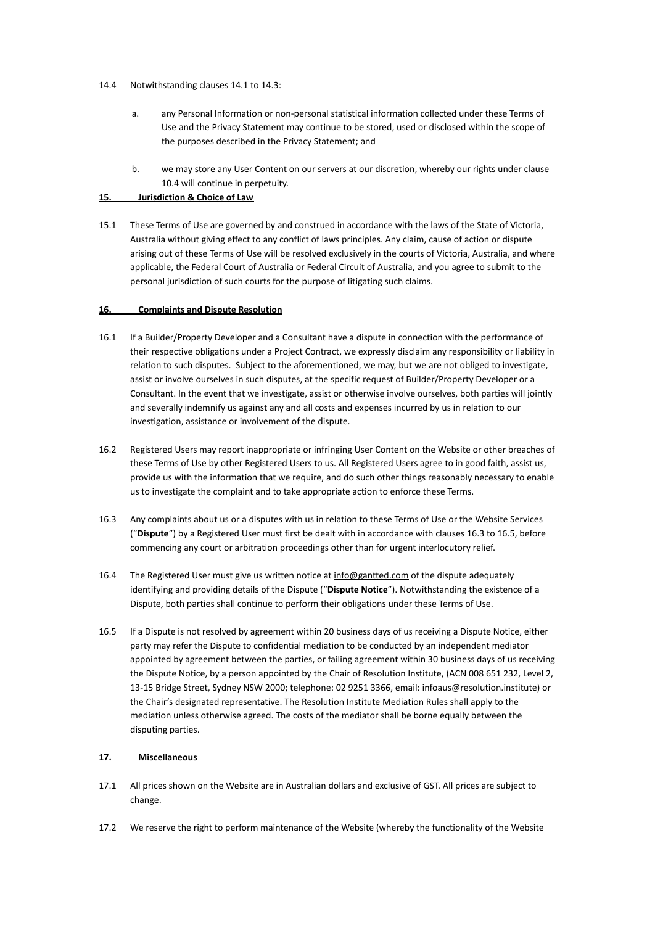#### 14.4 Notwithstanding clauses 14.1 to 14.3:

- a. any Personal Information or non-personal statistical information collected under these Terms of Use and the Privacy Statement may continue to be stored, used or disclosed within the scope of the purposes described in the Privacy Statement; and
- b. we may store any User Content on our servers at our discretion, whereby our rights under clause 10.4 will continue in perpetuity.

## **15. Jurisdiction & Choice of Law**

15.1 These Terms of Use are governed by and construed in accordance with the laws of the State of Victoria, Australia without giving effect to any conflict of laws principles. Any claim, cause of action or dispute arising out of these Terms of Use will be resolved exclusively in the courts of Victoria, Australia, and where applicable, the Federal Court of Australia or Federal Circuit of Australia, and you agree to submit to the personal jurisdiction of such courts for the purpose of litigating such claims.

## **16. Complaints and Dispute Resolution**

- 16.1 If a Builder/Property Developer and a Consultant have a dispute in connection with the performance of their respective obligations under a Project Contract, we expressly disclaim any responsibility or liability in relation to such disputes. Subject to the aforementioned, we may, but we are not obliged to investigate, assist or involve ourselves in such disputes, at the specific request of Builder/Property Developer or a Consultant. In the event that we investigate, assist or otherwise involve ourselves, both parties will jointly and severally indemnify us against any and all costs and expenses incurred by us in relation to our investigation, assistance or involvement of the dispute.
- 16.2 Registered Users may report inappropriate or infringing User Content on the Website or other breaches of these Terms of Use by other Registered Users to us. All Registered Users agree to in good faith, assist us, provide us with the information that we require, and do such other things reasonably necessary to enable us to investigate the complaint and to take appropriate action to enforce these Terms.
- 16.3 Any complaints about us or a disputes with us in relation to these Terms of Use or the Website Services ("**Dispute**") by a Registered User must first be dealt with in accordance with clauses 16.3 to 16.5, before commencing any court or arbitration proceedings other than for urgent interlocutory relief.
- 16.4 The Registered User must give us written notice at [info@gantted.com](mailto:info@gantted.com) of the dispute adequately identifying and providing details of the Dispute ("**Dispute Notice**"). Notwithstanding the existence of a Dispute, both parties shall continue to perform their obligations under these Terms of Use.
- 16.5 If a Dispute is not resolved by agreement within 20 business days of us receiving a Dispute Notice, either party may refer the Dispute to confidential mediation to be conducted by an independent mediator appointed by agreement between the parties, or failing agreement within 30 business days of us receiving the Dispute Notice, by a person appointed by the Chair of Resolution Institute, (ACN 008 651 232, Level 2, 13-15 Bridge Street, Sydney NSW 2000; telephone: 02 9251 3366, email: infoaus@resolution.institute) or the Chair's designated representative. The Resolution Institute Mediation Rules shall apply to the mediation unless otherwise agreed. The costs of the mediator shall be borne equally between the disputing parties.

## **17. Miscellaneous**

- 17.1 All prices shown on the Website are in Australian dollars and exclusive of GST. All prices are subject to change.
- 17.2 We reserve the right to perform maintenance of the Website (whereby the functionality of the Website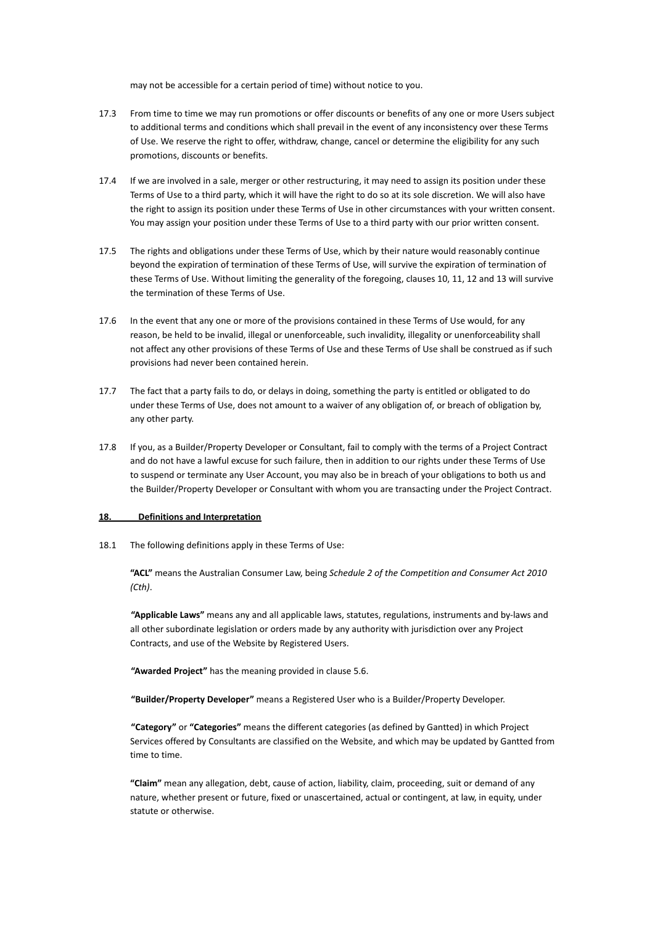may not be accessible for a certain period of time) without notice to you.

- 17.3 From time to time we may run promotions or offer discounts or benefits of any one or more Users subject to additional terms and conditions which shall prevail in the event of any inconsistency over these Terms of Use. We reserve the right to offer, withdraw, change, cancel or determine the eligibility for any such promotions, discounts or benefits.
- 17.4 If we are involved in a sale, merger or other restructuring, it may need to assign its position under these Terms of Use to a third party, which it will have the right to do so at its sole discretion. We will also have the right to assign its position under these Terms of Use in other circumstances with your written consent. You may assign your position under these Terms of Use to a third party with our prior written consent.
- 17.5 The rights and obligations under these Terms of Use, which by their nature would reasonably continue beyond the expiration of termination of these Terms of Use, will survive the expiration of termination of these Terms of Use. Without limiting the generality of the foregoing, clauses 10, 11, 12 and 13 will survive the termination of these Terms of Use.
- 17.6 In the event that any one or more of the provisions contained in these Terms of Use would, for any reason, be held to be invalid, illegal or unenforceable, such invalidity, illegality or unenforceability shall not affect any other provisions of these Terms of Use and these Terms of Use shall be construed as if such provisions had never been contained herein.
- 17.7 The fact that a party fails to do, or delays in doing, something the party is entitled or obligated to do under these Terms of Use, does not amount to a waiver of any obligation of, or breach of obligation by, any other party.
- 17.8 If you, as a Builder/Property Developer or Consultant, fail to comply with the terms of a Project Contract and do not have a lawful excuse for such failure, then in addition to our rights under these Terms of Use to suspend or terminate any User Account, you may also be in breach of your obligations to both us and the Builder/Property Developer or Consultant with whom you are transacting under the Project Contract.

#### **18. Definitions and Interpretation**

18.1 The following definitions apply in these Terms of Use:

**"ACL"** means the Australian Consumer Law, being *Schedule 2 of the Competition and Consumer Act 2010 (Cth)*.

**"Applicable Laws"** means any and all applicable laws, statutes, regulations, instruments and by-laws and all other subordinate legislation or orders made by any authority with jurisdiction over any Project Contracts, and use of the Website by Registered Users.

**"Awarded Project"** has the meaning provided in clause 5.6.

**"Builder/Property Developer"** means a Registered User who is a Builder/Property Developer.

**"Category"** or **"Categories"** means the different categories (as defined by Gantted) in which Project Services offered by Consultants are classified on the Website, and which may be updated by Gantted from time to time.

**"Claim"** mean any allegation, debt, cause of action, liability, claim, proceeding, suit or demand of any nature, whether present or future, fixed or unascertained, actual or contingent, at law, in equity, under statute or otherwise.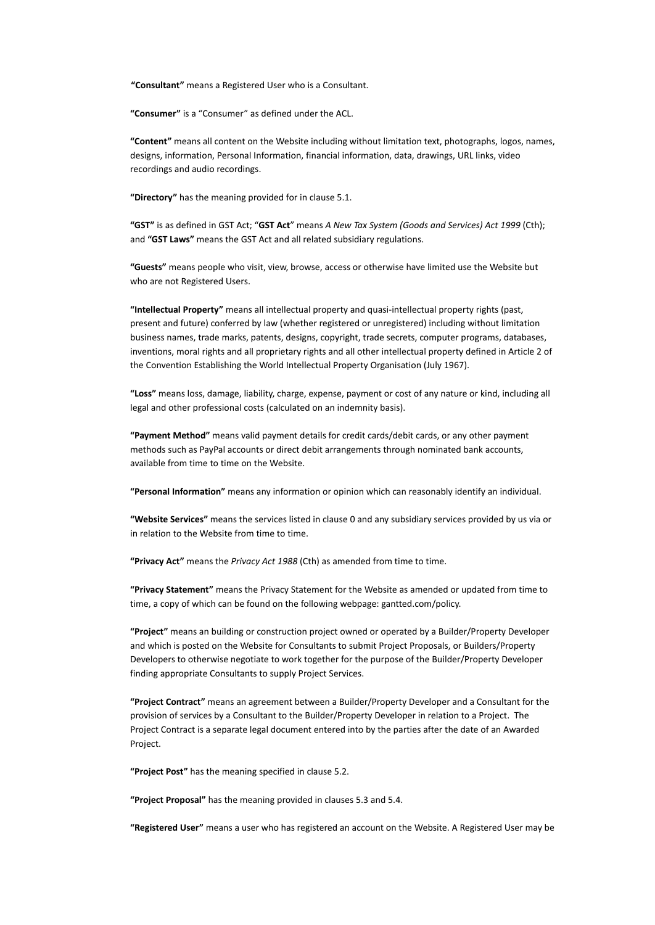**"Consultant"** means a Registered User who is a Consultant.

**"Consumer"** is a "Consumer" as defined under the ACL.

**"Content"** means all content on the Website including without limitation text, photographs, logos, names, designs, information, Personal Information, financial information, data, drawings, URL links, video recordings and audio recordings.

**"Directory"** has the meaning provided for in clause 5.1.

**"GST"** is as defined in GST Act; "**GST Act**" means *A New Tax System (Goods and Services) Act 1999* (Cth); and **"GST Laws"** means the GST Act and all related subsidiary regulations.

**"Guests"** means people who visit, view, browse, access or otherwise have limited use the Website but who are not Registered Users.

**"Intellectual Property"** means all intellectual property and quasi-intellectual property rights (past, present and future) conferred by law (whether registered or unregistered) including without limitation business names, trade marks, patents, designs, copyright, trade secrets, computer programs, databases, inventions, moral rights and all proprietary rights and all other intellectual property defined in Article 2 of the Convention Establishing the World Intellectual Property Organisation (July 1967).

**"Loss"** means loss, damage, liability, charge, expense, payment or cost of any nature or kind, including all legal and other professional costs (calculated on an indemnity basis).

**"Payment Method"** means valid payment details for credit cards/debit cards, or any other payment methods such as PayPal accounts or direct debit arrangements through nominated bank accounts, available from time to time on the Website.

**"Personal Information"** means any information or opinion which can reasonably identify an individual.

**"Website Services"** means the services listed in clause 0 and any subsidiary services provided by us via or in relation to the Website from time to time.

**"Privacy Act"** means the *Privacy Act 1988* (Cth) as amended from time to time.

**"Privacy Statement"** means the Privacy Statement for the Website as amended or updated from time to time, a copy of which can be found on the following webpage: gantted.com/policy.

**"Project"** means an building or construction project owned or operated by a Builder/Property Developer and which is posted on the Website for Consultants to submit Project Proposals, or Builders/Property Developers to otherwise negotiate to work together for the purpose of the Builder/Property Developer finding appropriate Consultants to supply Project Services.

**"Project Contract"** means an agreement between a Builder/Property Developer and a Consultant for the provision of services by a Consultant to the Builder/Property Developer in relation to a Project. The Project Contract is a separate legal document entered into by the parties after the date of an Awarded Project.

**"Project Post"** has the meaning specified in clause 5.2.

**"Project Proposal"** has the meaning provided in clauses 5.3 and 5.4.

**"Registered User"** means a user who has registered an account on the Website. A Registered User may be